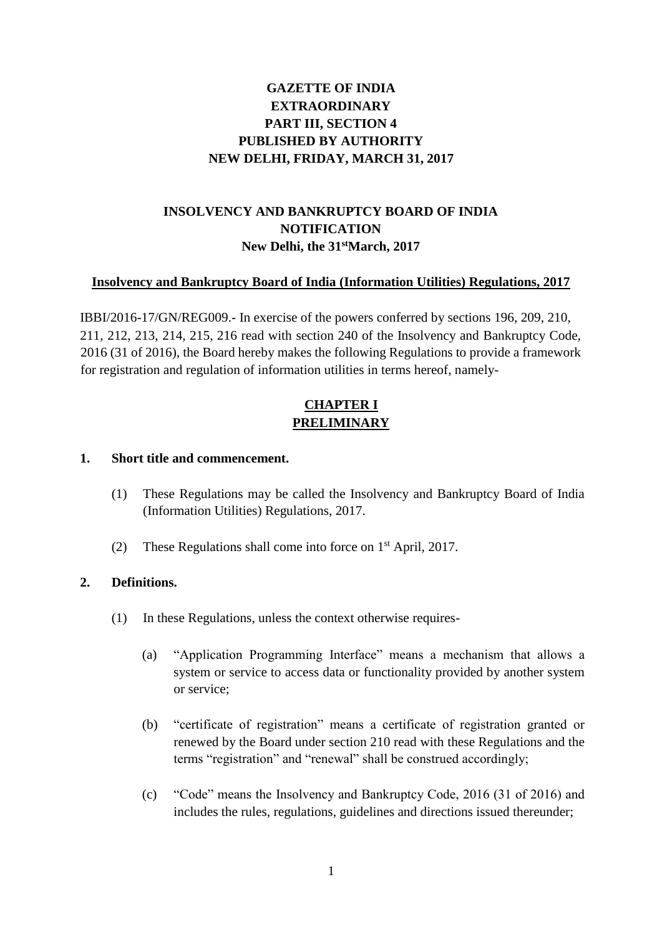# **GAZETTE OF INDIA EXTRAORDINARY PART III, SECTION 4 PUBLISHED BY AUTHORITY NEW DELHI, FRIDAY, MARCH 31, 2017**

# **INSOLVENCY AND BANKRUPTCY BOARD OF INDIA NOTIFICATION New Delhi, the 31stMarch, 2017**

## **Insolvency and Bankruptcy Board of India (Information Utilities) Regulations, 2017**

IBBI/2016-17/GN/REG009.- In exercise of the powers conferred by sections 196, 209, 210, 211, 212, 213, 214, 215, 216 read with section 240 of the Insolvency and Bankruptcy Code, 2016 (31 of 2016), the Board hereby makes the following Regulations to provide a framework for registration and regulation of information utilities in terms hereof, namely-

# **CHAPTER I PRELIMINARY**

#### **1. Short title and commencement.**

- (1) These Regulations may be called the Insolvency and Bankruptcy Board of India (Information Utilities) Regulations, 2017.
- (2) These Regulations shall come into force on  $1<sup>st</sup>$  April, 2017.

#### **2. Definitions.**

- (1) In these Regulations, unless the context otherwise requires-
	- (a) "Application Programming Interface" means a mechanism that allows a system or service to access data or functionality provided by another system or service;
	- (b) "certificate of registration" means a certificate of registration granted or renewed by the Board under section 210 read with these Regulations and the terms "registration" and "renewal" shall be construed accordingly;
	- (c) "Code" means the Insolvency and Bankruptcy Code, 2016 (31 of 2016) and includes the rules, regulations, guidelines and directions issued thereunder;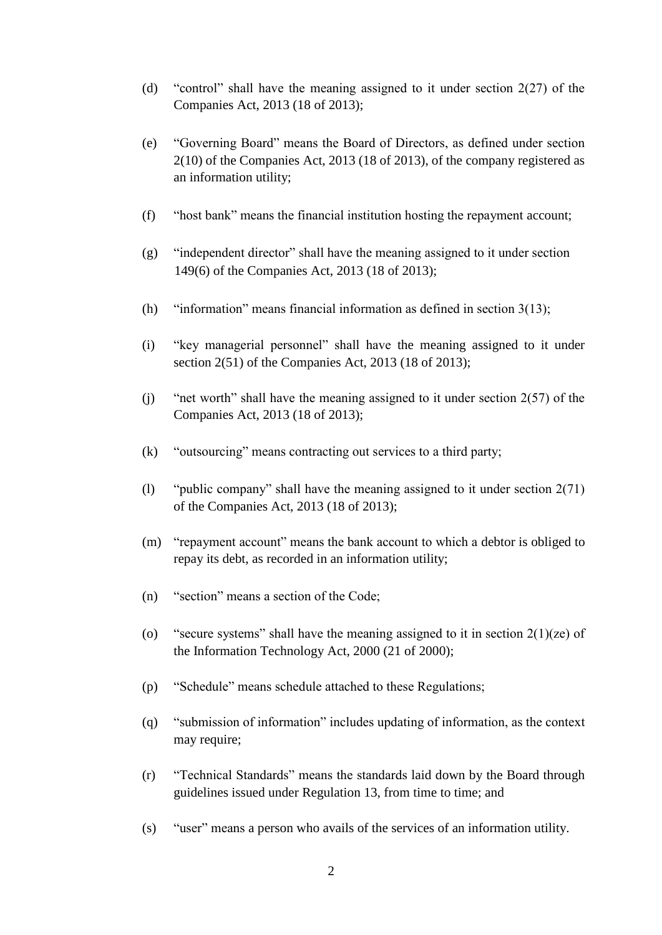- (d) "control" shall have the meaning assigned to it under section 2(27) of the Companies Act, 2013 (18 of 2013);
- (e) "Governing Board" means the Board of Directors, as defined under section 2(10) of the Companies Act, 2013 (18 of 2013), of the company registered as an information utility;
- (f) "host bank" means the financial institution hosting the repayment account;
- (g) "independent director" shall have the meaning assigned to it under section 149(6) of the Companies Act, 2013 (18 of 2013);
- (h) "information" means financial information as defined in section  $3(13)$ ;
- (i) "key managerial personnel" shall have the meaning assigned to it under section 2(51) of the Companies Act, 2013 (18 of 2013);
- (j) "net worth" shall have the meaning assigned to it under section 2(57) of the Companies Act, 2013 (18 of 2013);
- (k) "outsourcing" means contracting out services to a third party;
- (l) "public company" shall have the meaning assigned to it under section 2(71) of the Companies Act, 2013 (18 of 2013);
- (m) "repayment account" means the bank account to which a debtor is obliged to repay its debt, as recorded in an information utility;
- (n) "section" means a section of the Code;
- (o) "secure systems" shall have the meaning assigned to it in section  $2(1)(ze)$  of the Information Technology Act, 2000 (21 of 2000);
- (p) "Schedule" means schedule attached to these Regulations;
- (q) "submission of information" includes updating of information, as the context may require;
- (r) "Technical Standards" means the standards laid down by the Board through guidelines issued under Regulation 13, from time to time; and
- (s) "user" means a person who avails of the services of an information utility.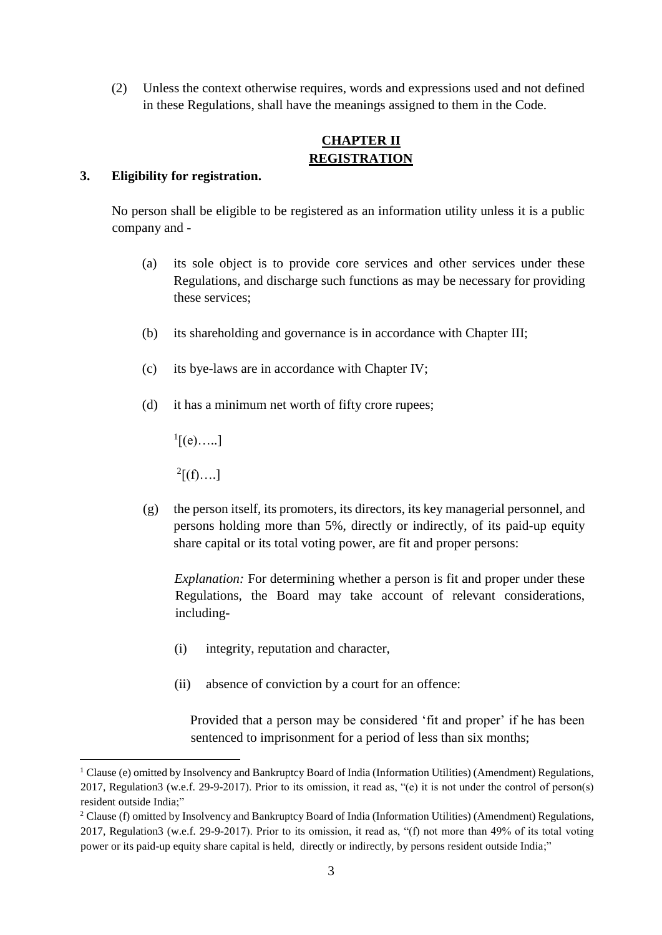(2) Unless the context otherwise requires, words and expressions used and not defined in these Regulations, shall have the meanings assigned to them in the Code.

# **CHAPTER II REGISTRATION**

#### **3. Eligibility for registration.**

No person shall be eligible to be registered as an information utility unless it is a public company and -

- (a) its sole object is to provide core services and other services under these Regulations, and discharge such functions as may be necessary for providing these services;
- (b) its shareholding and governance is in accordance with Chapter III;
- (c) its bye-laws are in accordance with Chapter IV;
- (d) it has a minimum net worth of fifty crore rupees;

 ${}^{1}$ [(e).....]

 $^{2}[(f)...]$ 

1

(g) the person itself, its promoters, its directors, its key managerial personnel, and persons holding more than 5%, directly or indirectly, of its paid-up equity share capital or its total voting power, are fit and proper persons:

*Explanation:* For determining whether a person is fit and proper under these Regulations, the Board may take account of relevant considerations, including-

- (i) integrity, reputation and character,
- (ii) absence of conviction by a court for an offence:

Provided that a person may be considered 'fit and proper' if he has been sentenced to imprisonment for a period of less than six months;

<sup>&</sup>lt;sup>1</sup> Clause (e) omitted by Insolvency and Bankruptcy Board of India (Information Utilities) (Amendment) Regulations, 2017, Regulation3 (w.e.f. 29-9-2017). Prior to its omission, it read as, "(e) it is not under the control of person(s) resident outside India;"

<sup>2</sup> Clause (f) omitted by Insolvency and Bankruptcy Board of India (Information Utilities) (Amendment) Regulations, 2017, Regulation3 (w.e.f. 29-9-2017). Prior to its omission, it read as, "(f) not more than 49% of its total voting power or its paid-up equity share capital is held, directly or indirectly, by persons resident outside India;"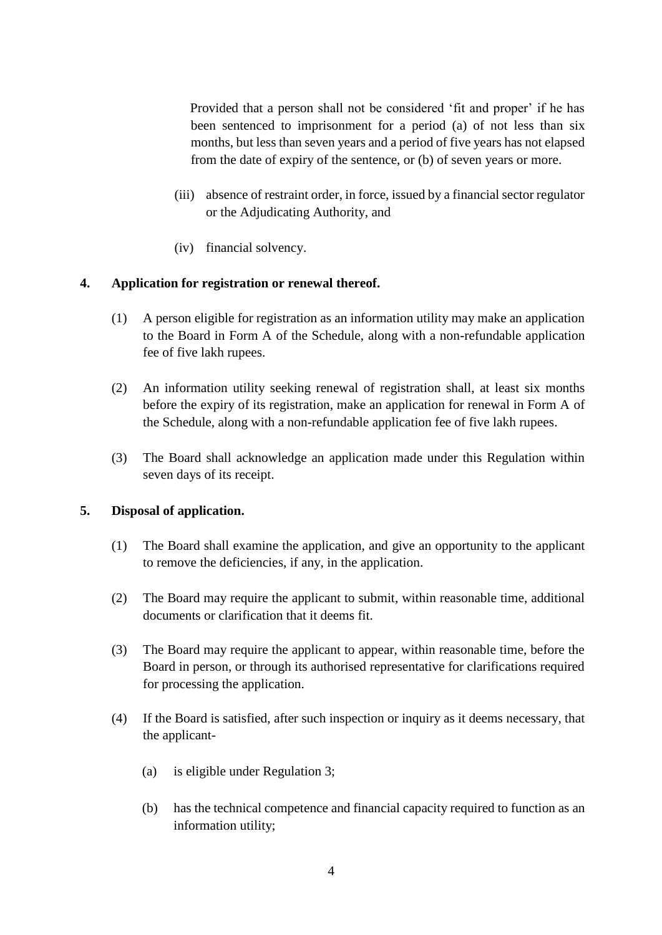Provided that a person shall not be considered 'fit and proper' if he has been sentenced to imprisonment for a period (a) of not less than six months, but less than seven years and a period of five years has not elapsed from the date of expiry of the sentence, or (b) of seven years or more.

- (iii) absence of restraint order, in force, issued by a financial sector regulator or the Adjudicating Authority, and
- (iv) financial solvency.

# **4. Application for registration or renewal thereof.**

- (1) A person eligible for registration as an information utility may make an application to the Board in Form A of the Schedule, along with a non-refundable application fee of five lakh rupees.
- (2) An information utility seeking renewal of registration shall, at least six months before the expiry of its registration, make an application for renewal in Form A of the Schedule, along with a non-refundable application fee of five lakh rupees.
- (3) The Board shall acknowledge an application made under this Regulation within seven days of its receipt.

# **5. Disposal of application.**

- (1) The Board shall examine the application, and give an opportunity to the applicant to remove the deficiencies, if any, in the application.
- (2) The Board may require the applicant to submit, within reasonable time, additional documents or clarification that it deems fit.
- (3) The Board may require the applicant to appear, within reasonable time, before the Board in person, or through its authorised representative for clarifications required for processing the application.
- (4) If the Board is satisfied, after such inspection or inquiry as it deems necessary, that the applicant-
	- (a) is eligible under Regulation 3;
	- (b) has the technical competence and financial capacity required to function as an information utility;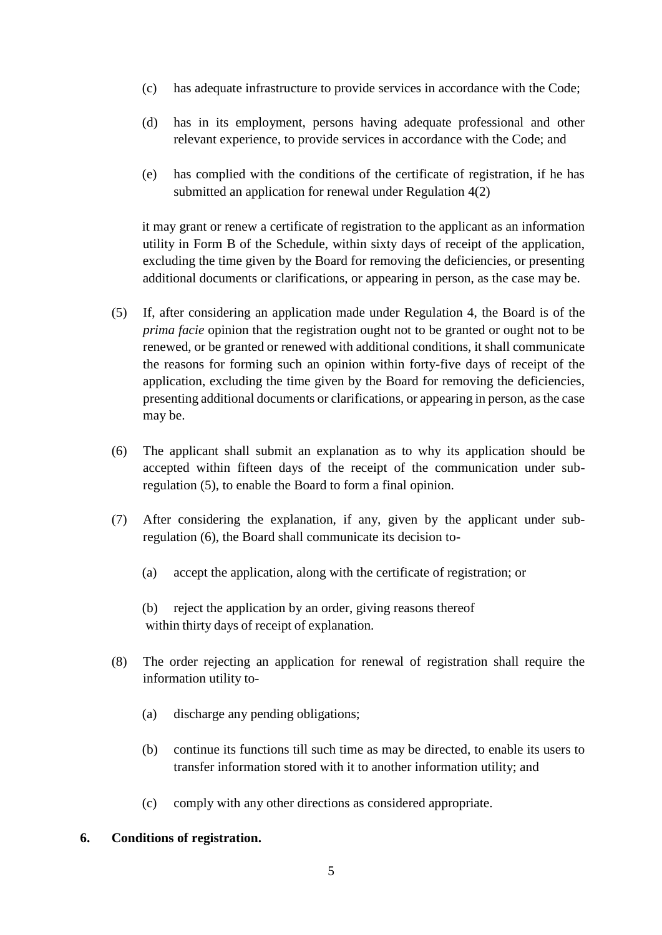- (c) has adequate infrastructure to provide services in accordance with the Code;
- (d) has in its employment, persons having adequate professional and other relevant experience, to provide services in accordance with the Code; and
- (e) has complied with the conditions of the certificate of registration, if he has submitted an application for renewal under Regulation 4(2)

it may grant or renew a certificate of registration to the applicant as an information utility in Form B of the Schedule, within sixty days of receipt of the application, excluding the time given by the Board for removing the deficiencies, or presenting additional documents or clarifications, or appearing in person, as the case may be.

- (5) If, after considering an application made under Regulation 4, the Board is of the *prima facie* opinion that the registration ought not to be granted or ought not to be renewed, or be granted or renewed with additional conditions, it shall communicate the reasons for forming such an opinion within forty-five days of receipt of the application, excluding the time given by the Board for removing the deficiencies, presenting additional documents or clarifications, or appearing in person, as the case may be.
- (6) The applicant shall submit an explanation as to why its application should be accepted within fifteen days of the receipt of the communication under subregulation (5), to enable the Board to form a final opinion.
- (7) After considering the explanation, if any, given by the applicant under subregulation (6), the Board shall communicate its decision to-
	- (a) accept the application, along with the certificate of registration; or

(b) reject the application by an order, giving reasons thereof within thirty days of receipt of explanation.

- (8) The order rejecting an application for renewal of registration shall require the information utility to-
	- (a) discharge any pending obligations;
	- (b) continue its functions till such time as may be directed, to enable its users to transfer information stored with it to another information utility; and
	- (c) comply with any other directions as considered appropriate.

#### **6. Conditions of registration.**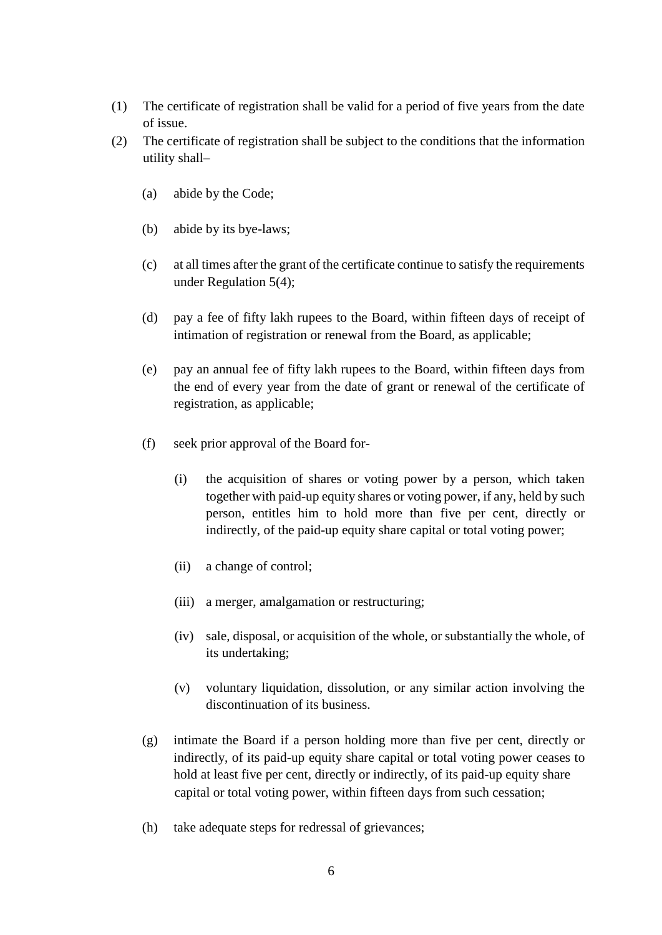- (1) The certificate of registration shall be valid for a period of five years from the date of issue.
- (2) The certificate of registration shall be subject to the conditions that the information utility shall–
	- (a) abide by the Code;
	- (b) abide by its bye-laws;
	- (c) at all times after the grant of the certificate continue to satisfy the requirements under Regulation 5(4);
	- (d) pay a fee of fifty lakh rupees to the Board, within fifteen days of receipt of intimation of registration or renewal from the Board, as applicable;
	- (e) pay an annual fee of fifty lakh rupees to the Board, within fifteen days from the end of every year from the date of grant or renewal of the certificate of registration, as applicable;
	- (f) seek prior approval of the Board for-
		- (i) the acquisition of shares or voting power by a person, which taken together with paid-up equity shares or voting power, if any, held by such person, entitles him to hold more than five per cent, directly or indirectly, of the paid-up equity share capital or total voting power;
		- (ii) a change of control;
		- (iii) a merger, amalgamation or restructuring;
		- (iv) sale, disposal, or acquisition of the whole, or substantially the whole, of its undertaking;
		- (v) voluntary liquidation, dissolution, or any similar action involving the discontinuation of its business.
	- (g) intimate the Board if a person holding more than five per cent, directly or indirectly, of its paid-up equity share capital or total voting power ceases to hold at least five per cent, directly or indirectly, of its paid-up equity share capital or total voting power, within fifteen days from such cessation;
	- (h) take adequate steps for redressal of grievances;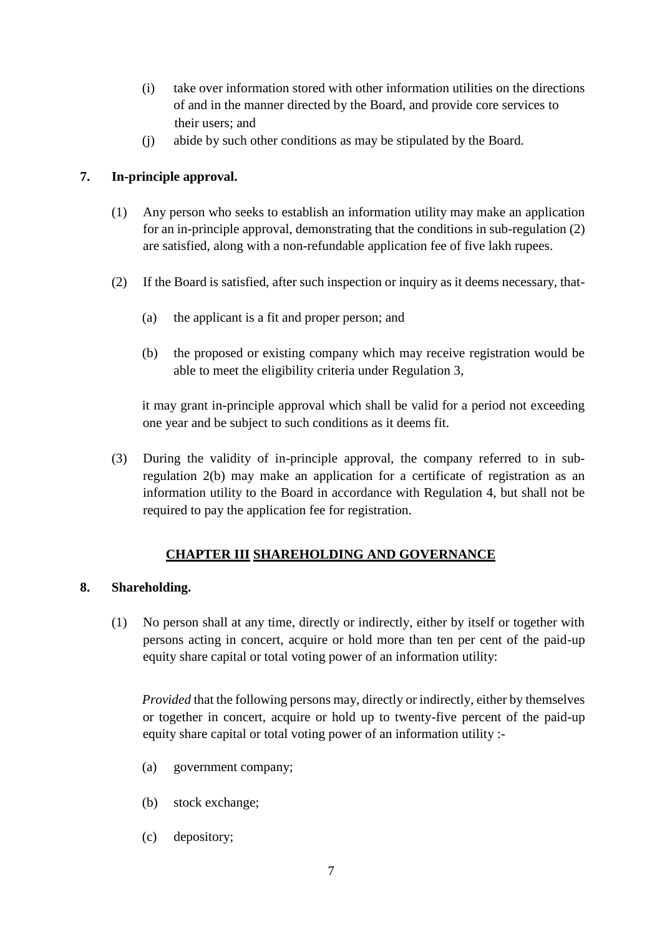- (i) take over information stored with other information utilities on the directions of and in the manner directed by the Board, and provide core services to their users; and
- (j) abide by such other conditions as may be stipulated by the Board.

# **7. In-principle approval.**

- (1) Any person who seeks to establish an information utility may make an application for an in-principle approval, demonstrating that the conditions in sub-regulation (2) are satisfied, along with a non-refundable application fee of five lakh rupees.
- (2) If the Board is satisfied, after such inspection or inquiry as it deems necessary, that-
	- (a) the applicant is a fit and proper person; and
	- (b) the proposed or existing company which may receive registration would be able to meet the eligibility criteria under Regulation 3,

it may grant in-principle approval which shall be valid for a period not exceeding one year and be subject to such conditions as it deems fit.

(3) During the validity of in-principle approval, the company referred to in subregulation 2(b) may make an application for a certificate of registration as an information utility to the Board in accordance with Regulation 4, but shall not be required to pay the application fee for registration.

# **CHAPTER III SHAREHOLDING AND GOVERNANCE**

# **8. Shareholding.**

(1) No person shall at any time, directly or indirectly, either by itself or together with persons acting in concert, acquire or hold more than ten per cent of the paid-up equity share capital or total voting power of an information utility:

*Provided* that the following persons may, directly or indirectly, either by themselves or together in concert, acquire or hold up to twenty-five percent of the paid-up equity share capital or total voting power of an information utility :-

- (a) government company;
- (b) stock exchange;
- (c) depository;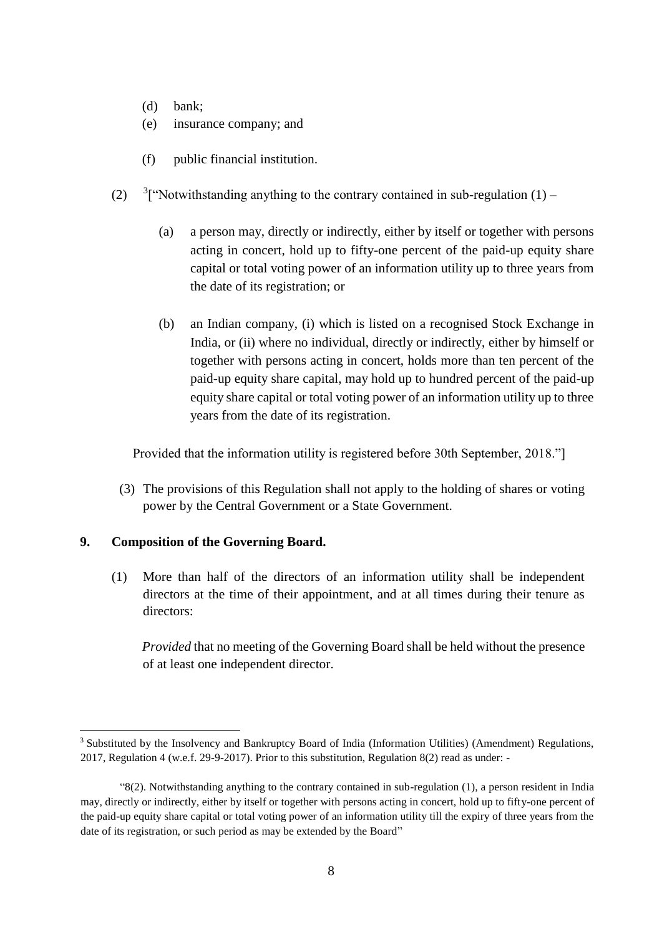- (d) bank;
- (e) insurance company; and
- (f) public financial institution.
- $(2)$ <sup>3</sup>["Notwithstanding anything to the contrary contained in sub-regulation (1) –
	- (a) a person may, directly or indirectly, either by itself or together with persons acting in concert, hold up to fifty-one percent of the paid-up equity share capital or total voting power of an information utility up to three years from the date of its registration; or
	- (b) an Indian company, (i) which is listed on a recognised Stock Exchange in India, or (ii) where no individual, directly or indirectly, either by himself or together with persons acting in concert, holds more than ten percent of the paid-up equity share capital, may hold up to hundred percent of the paid-up equity share capital or total voting power of an information utility up to three years from the date of its registration.

Provided that the information utility is registered before 30th September, 2018."]

(3) The provisions of this Regulation shall not apply to the holding of shares or voting power by the Central Government or a State Government.

#### **9. Composition of the Governing Board.**

<u>.</u>

(1) More than half of the directors of an information utility shall be independent directors at the time of their appointment, and at all times during their tenure as directors:

*Provided* that no meeting of the Governing Board shall be held without the presence of at least one independent director.

<sup>3</sup> Substituted by the Insolvency and Bankruptcy Board of India (Information Utilities) (Amendment) Regulations, 2017, Regulation 4 (w.e.f. 29-9-2017). Prior to this substitution, Regulation 8(2) read as under: -

<sup>&</sup>quot;8(2). Notwithstanding anything to the contrary contained in sub-regulation (1), a person resident in India may, directly or indirectly, either by itself or together with persons acting in concert, hold up to fifty-one percent of the paid-up equity share capital or total voting power of an information utility till the expiry of three years from the date of its registration, or such period as may be extended by the Board"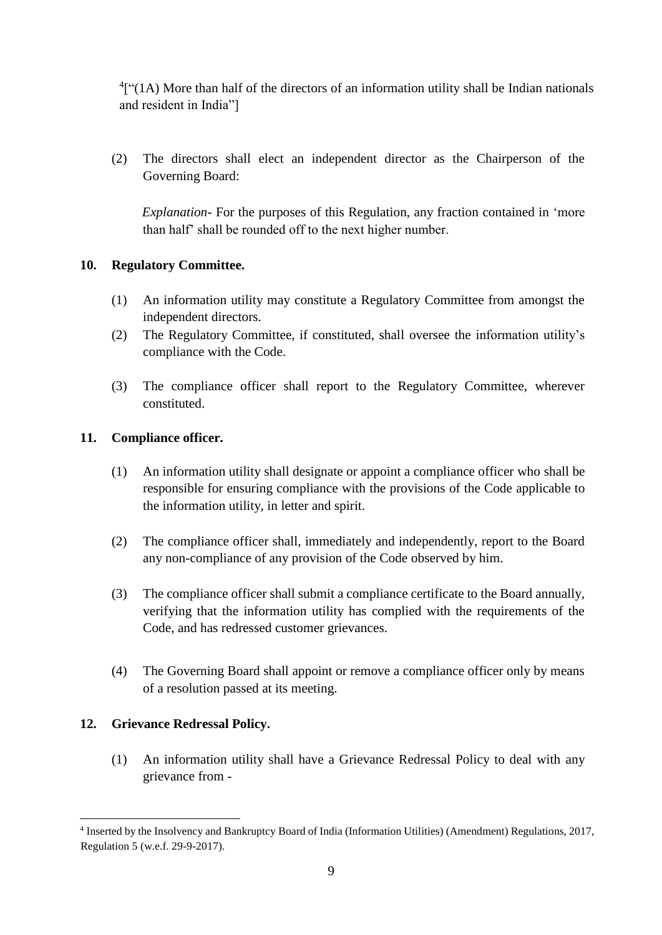${}^{4}$ ["(1A) More than half of the directors of an information utility shall be Indian nationals and resident in India"]

(2) The directors shall elect an independent director as the Chairperson of the Governing Board:

*Explanation-* For the purposes of this Regulation, any fraction contained in 'more than half' shall be rounded off to the next higher number.

# **10. Regulatory Committee.**

- (1) An information utility may constitute a Regulatory Committee from amongst the independent directors.
- (2) The Regulatory Committee, if constituted, shall oversee the information utility's compliance with the Code.
- (3) The compliance officer shall report to the Regulatory Committee, wherever constituted.

# **11. Compliance officer.**

- (1) An information utility shall designate or appoint a compliance officer who shall be responsible for ensuring compliance with the provisions of the Code applicable to the information utility, in letter and spirit.
- (2) The compliance officer shall, immediately and independently, report to the Board any non-compliance of any provision of the Code observed by him.
- (3) The compliance officer shall submit a compliance certificate to the Board annually, verifying that the information utility has complied with the requirements of the Code, and has redressed customer grievances.
- (4) The Governing Board shall appoint or remove a compliance officer only by means of a resolution passed at its meeting.

# **12. Grievance Redressal Policy.**

<u>.</u>

(1) An information utility shall have a Grievance Redressal Policy to deal with any grievance from -

<sup>4</sup> Inserted by the Insolvency and Bankruptcy Board of India (Information Utilities) (Amendment) Regulations, 2017, Regulation 5 (w.e.f. 29-9-2017).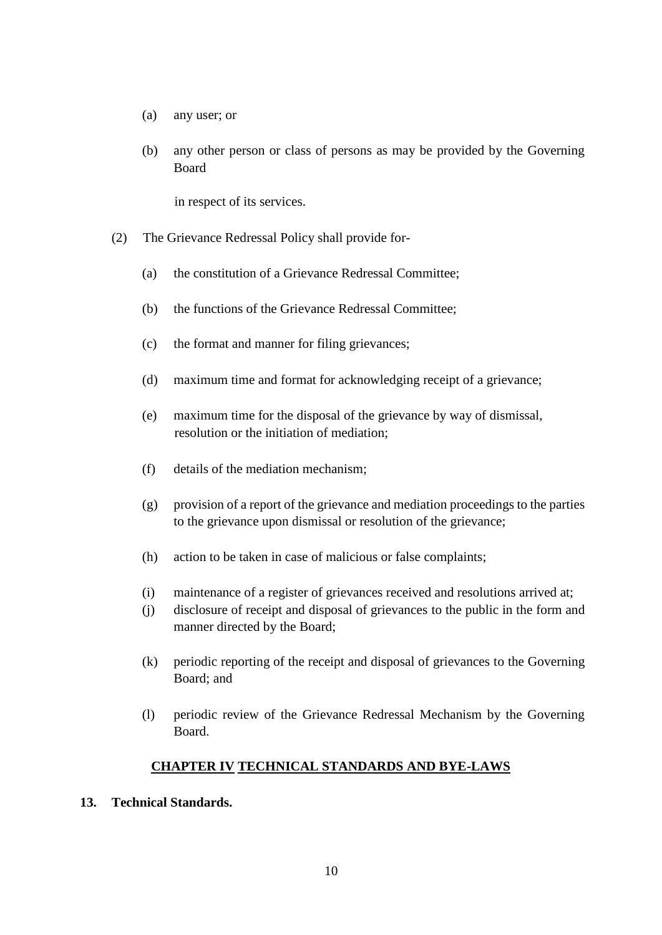- (a) any user; or
- (b) any other person or class of persons as may be provided by the Governing Board

in respect of its services.

- (2) The Grievance Redressal Policy shall provide for-
	- (a) the constitution of a Grievance Redressal Committee;
	- (b) the functions of the Grievance Redressal Committee;
	- (c) the format and manner for filing grievances;
	- (d) maximum time and format for acknowledging receipt of a grievance;
	- (e) maximum time for the disposal of the grievance by way of dismissal, resolution or the initiation of mediation;
	- (f) details of the mediation mechanism;
	- (g) provision of a report of the grievance and mediation proceedings to the parties to the grievance upon dismissal or resolution of the grievance;
	- (h) action to be taken in case of malicious or false complaints;
	- (i) maintenance of a register of grievances received and resolutions arrived at;
	- (j) disclosure of receipt and disposal of grievances to the public in the form and manner directed by the Board;
	- (k) periodic reporting of the receipt and disposal of grievances to the Governing Board; and
	- (l) periodic review of the Grievance Redressal Mechanism by the Governing Board.

#### **CHAPTER IV TECHNICAL STANDARDS AND BYE-LAWS**

**13. Technical Standards.**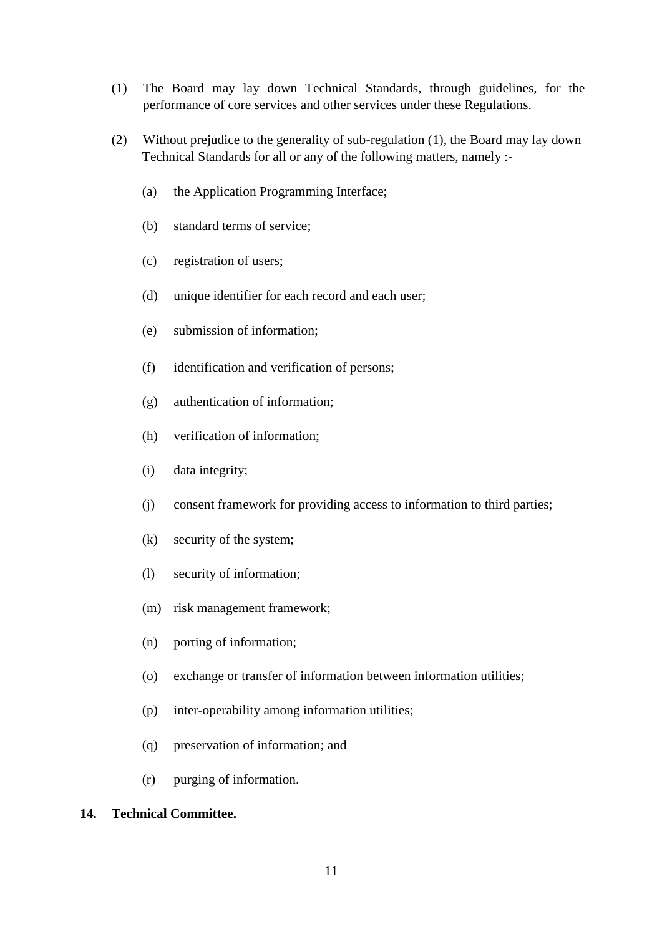- (1) The Board may lay down Technical Standards, through guidelines, for the performance of core services and other services under these Regulations.
- (2) Without prejudice to the generality of sub-regulation (1), the Board may lay down Technical Standards for all or any of the following matters, namely :-
	- (a) the Application Programming Interface;
	- (b) standard terms of service;
	- (c) registration of users;
	- (d) unique identifier for each record and each user;
	- (e) submission of information;
	- (f) identification and verification of persons;
	- (g) authentication of information;
	- (h) verification of information;
	- (i) data integrity;
	- (j) consent framework for providing access to information to third parties;
	- (k) security of the system;
	- (l) security of information;
	- (m) risk management framework;
	- (n) porting of information;
	- (o) exchange or transfer of information between information utilities;
	- (p) inter-operability among information utilities;
	- (q) preservation of information; and
	- (r) purging of information.

#### **14. Technical Committee.**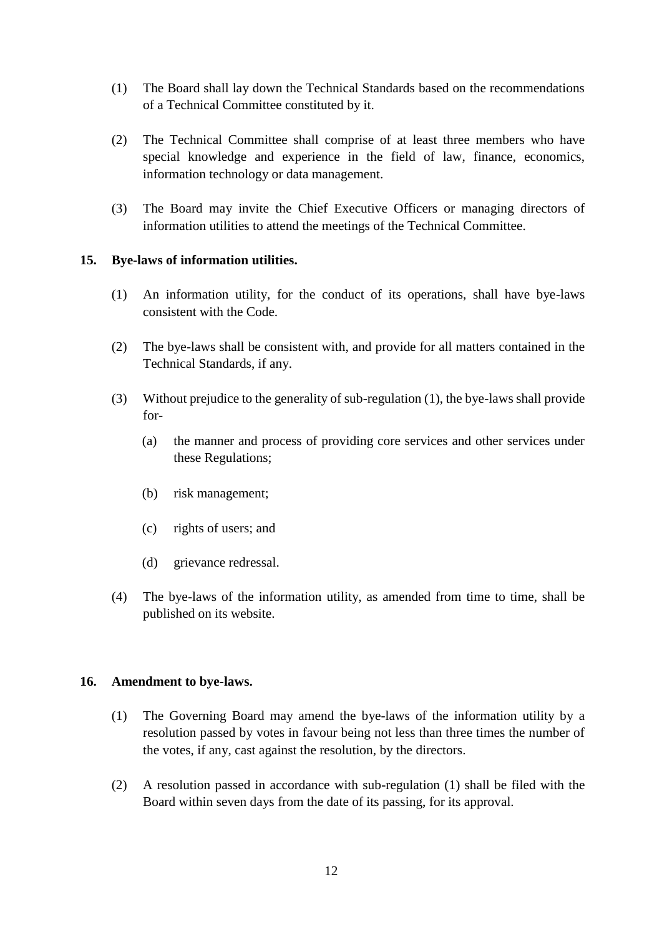- (1) The Board shall lay down the Technical Standards based on the recommendations of a Technical Committee constituted by it.
- (2) The Technical Committee shall comprise of at least three members who have special knowledge and experience in the field of law, finance, economics, information technology or data management.
- (3) The Board may invite the Chief Executive Officers or managing directors of information utilities to attend the meetings of the Technical Committee.

## **15. Bye-laws of information utilities.**

- (1) An information utility, for the conduct of its operations, shall have bye-laws consistent with the Code.
- (2) The bye-laws shall be consistent with, and provide for all matters contained in the Technical Standards, if any.
- (3) Without prejudice to the generality of sub-regulation (1), the bye-laws shall provide for-
	- (a) the manner and process of providing core services and other services under these Regulations;
	- (b) risk management;
	- (c) rights of users; and
	- (d) grievance redressal.
- (4) The bye-laws of the information utility, as amended from time to time, shall be published on its website.

#### **16. Amendment to bye-laws.**

- (1) The Governing Board may amend the bye-laws of the information utility by a resolution passed by votes in favour being not less than three times the number of the votes, if any, cast against the resolution, by the directors.
- (2) A resolution passed in accordance with sub-regulation (1) shall be filed with the Board within seven days from the date of its passing, for its approval.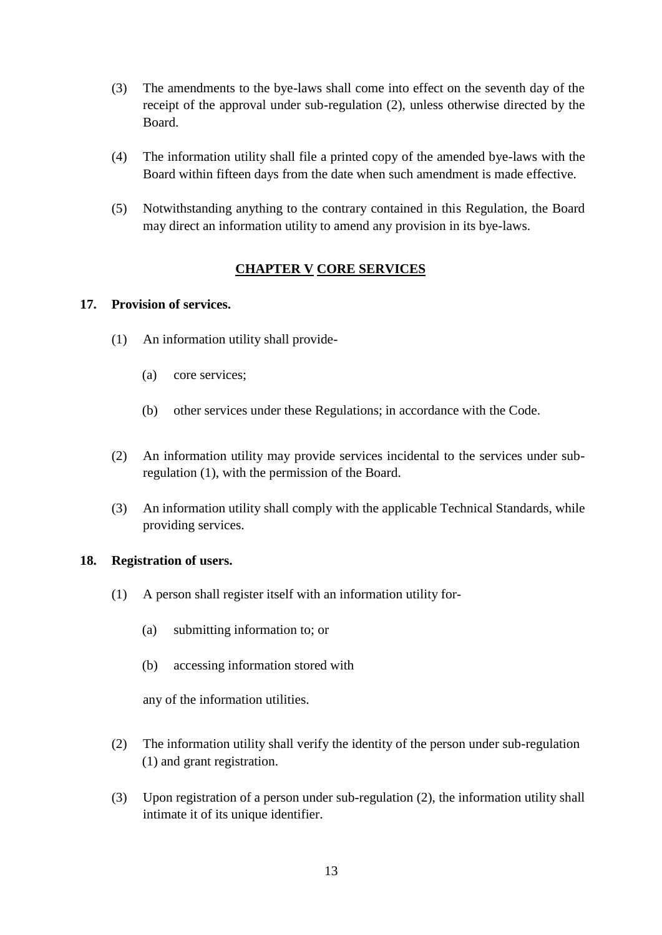- (3) The amendments to the bye-laws shall come into effect on the seventh day of the receipt of the approval under sub-regulation (2), unless otherwise directed by the Board.
- (4) The information utility shall file a printed copy of the amended bye-laws with the Board within fifteen days from the date when such amendment is made effective.
- (5) Notwithstanding anything to the contrary contained in this Regulation, the Board may direct an information utility to amend any provision in its bye-laws.

# **CHAPTER V CORE SERVICES**

## **17. Provision of services.**

- (1) An information utility shall provide-
	- (a) core services;
	- (b) other services under these Regulations; in accordance with the Code.
- (2) An information utility may provide services incidental to the services under subregulation (1), with the permission of the Board.
- (3) An information utility shall comply with the applicable Technical Standards, while providing services.

#### **18. Registration of users.**

- (1) A person shall register itself with an information utility for-
	- (a) submitting information to; or
	- (b) accessing information stored with

any of the information utilities.

- (2) The information utility shall verify the identity of the person under sub-regulation (1) and grant registration.
- (3) Upon registration of a person under sub-regulation (2), the information utility shall intimate it of its unique identifier.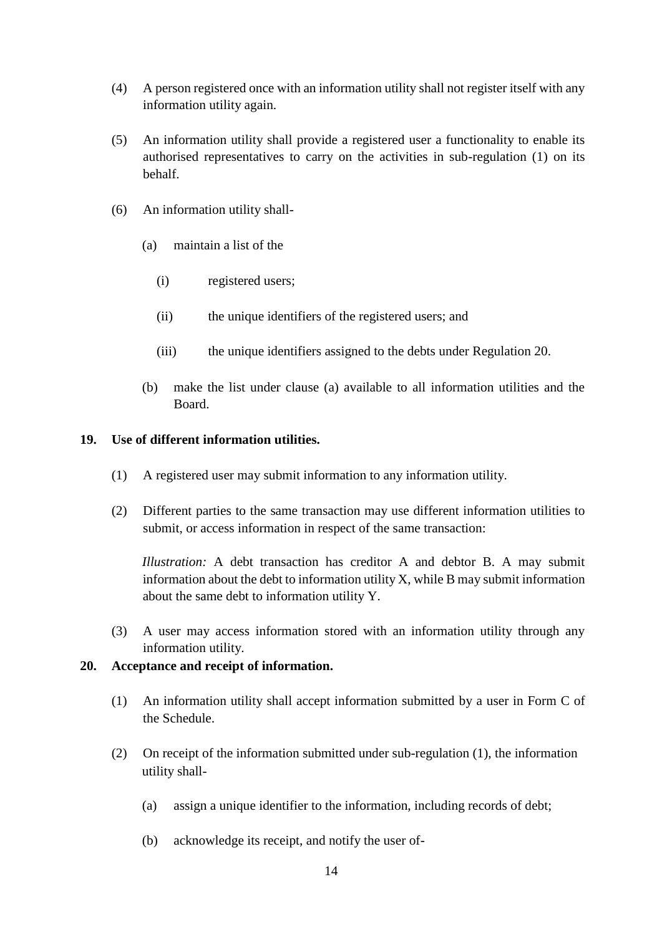- (4) A person registered once with an information utility shall not register itself with any information utility again.
- (5) An information utility shall provide a registered user a functionality to enable its authorised representatives to carry on the activities in sub-regulation (1) on its behalf.
- (6) An information utility shall-
	- (a) maintain a list of the
		- (i) registered users;
		- (ii) the unique identifiers of the registered users; and
		- (iii) the unique identifiers assigned to the debts under Regulation 20.
	- (b) make the list under clause (a) available to all information utilities and the Board.

#### **19. Use of different information utilities.**

- (1) A registered user may submit information to any information utility.
- (2) Different parties to the same transaction may use different information utilities to submit, or access information in respect of the same transaction:

*Illustration:* A debt transaction has creditor A and debtor B. A may submit information about the debt to information utility X, while B may submit information about the same debt to information utility Y.

(3) A user may access information stored with an information utility through any information utility.

#### **20. Acceptance and receipt of information.**

- (1) An information utility shall accept information submitted by a user in Form C of the Schedule.
- (2) On receipt of the information submitted under sub-regulation (1), the information utility shall-
	- (a) assign a unique identifier to the information, including records of debt;
	- (b) acknowledge its receipt, and notify the user of-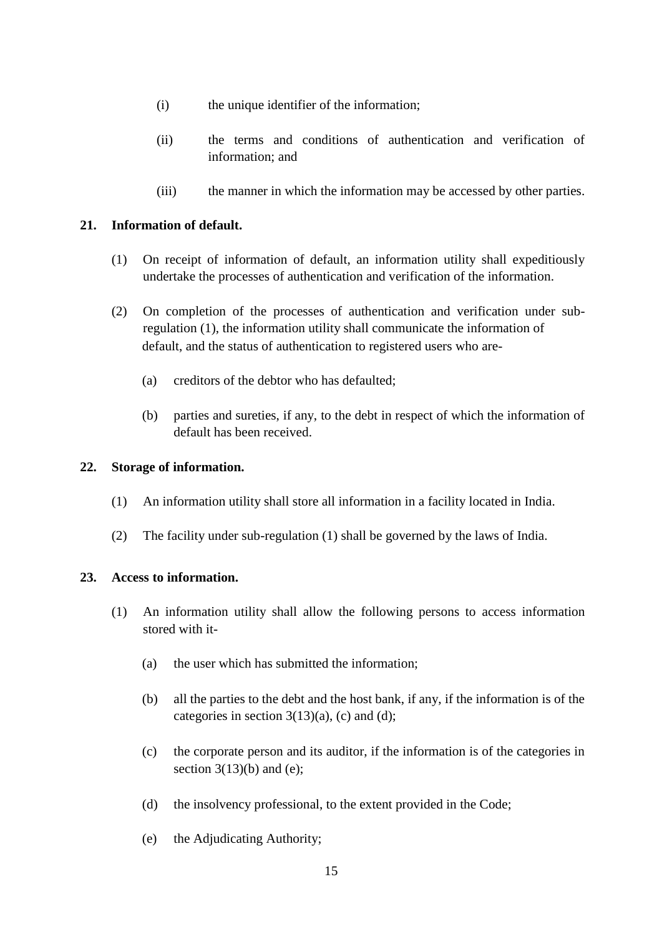- (i) the unique identifier of the information;
- (ii) the terms and conditions of authentication and verification of information; and
- (iii) the manner in which the information may be accessed by other parties.

## **21. Information of default.**

- (1) On receipt of information of default, an information utility shall expeditiously undertake the processes of authentication and verification of the information.
- (2) On completion of the processes of authentication and verification under subregulation (1), the information utility shall communicate the information of default, and the status of authentication to registered users who are-
	- (a) creditors of the debtor who has defaulted;
	- (b) parties and sureties, if any, to the debt in respect of which the information of default has been received.

#### **22. Storage of information.**

- (1) An information utility shall store all information in a facility located in India.
- (2) The facility under sub-regulation (1) shall be governed by the laws of India.

#### **23. Access to information.**

- (1) An information utility shall allow the following persons to access information stored with it-
	- (a) the user which has submitted the information;
	- (b) all the parties to the debt and the host bank, if any, if the information is of the categories in section  $3(13)(a)$ , (c) and (d);
	- (c) the corporate person and its auditor, if the information is of the categories in section  $3(13)(b)$  and (e);
	- (d) the insolvency professional, to the extent provided in the Code;
	- (e) the Adjudicating Authority;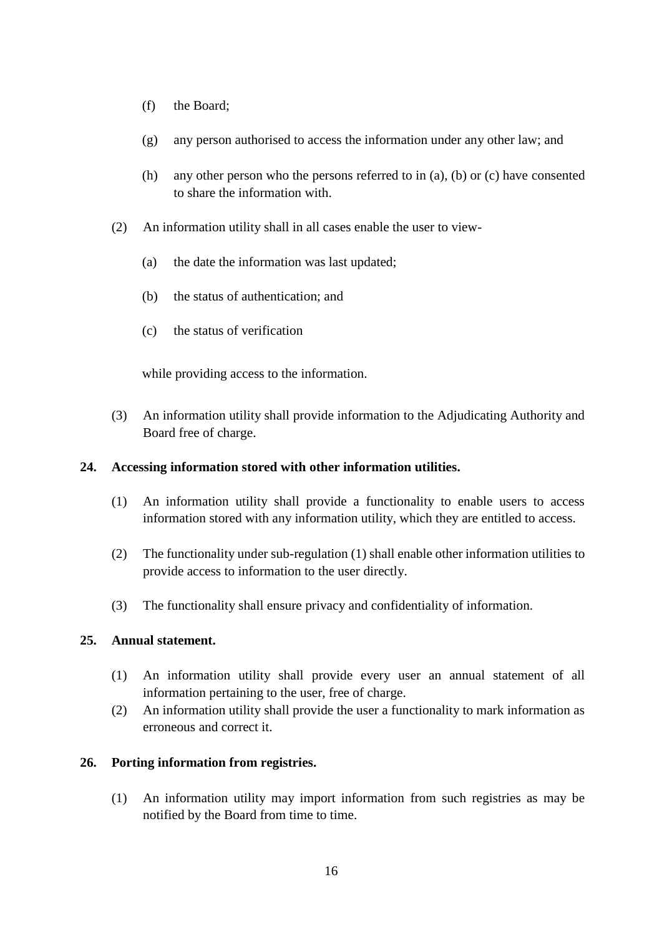- (f) the Board;
- (g) any person authorised to access the information under any other law; and
- (h) any other person who the persons referred to in (a), (b) or (c) have consented to share the information with.
- (2) An information utility shall in all cases enable the user to view-
	- (a) the date the information was last updated;
	- (b) the status of authentication; and
	- (c) the status of verification

while providing access to the information.

(3) An information utility shall provide information to the Adjudicating Authority and Board free of charge.

#### **24. Accessing information stored with other information utilities.**

- (1) An information utility shall provide a functionality to enable users to access information stored with any information utility, which they are entitled to access.
- (2) The functionality under sub-regulation (1) shall enable other information utilities to provide access to information to the user directly.
- (3) The functionality shall ensure privacy and confidentiality of information.

## **25. Annual statement.**

- (1) An information utility shall provide every user an annual statement of all information pertaining to the user, free of charge.
- (2) An information utility shall provide the user a functionality to mark information as erroneous and correct it.

#### **26. Porting information from registries.**

(1) An information utility may import information from such registries as may be notified by the Board from time to time.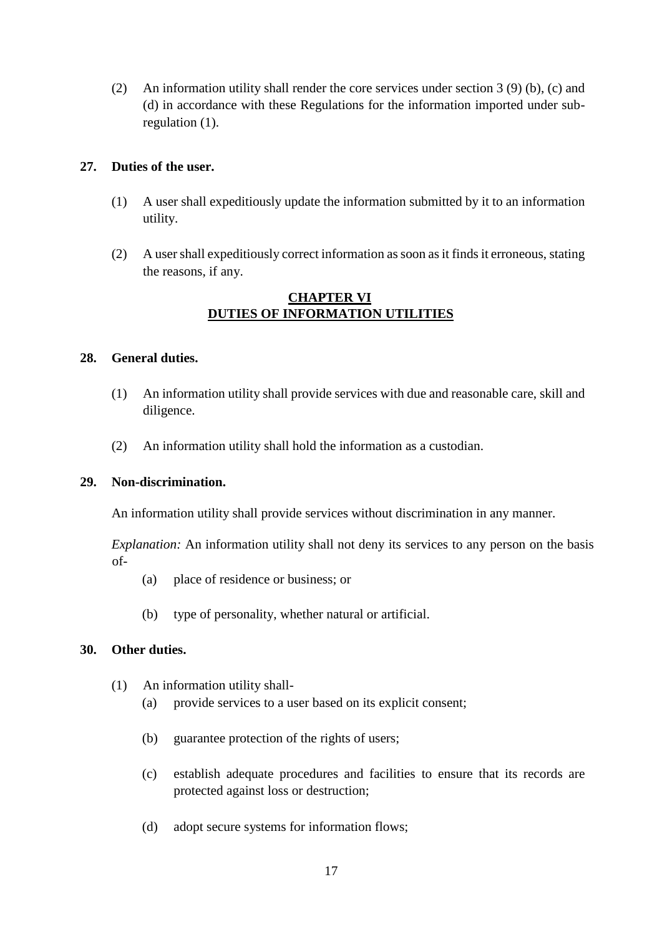(2) An information utility shall render the core services under section 3 (9) (b), (c) and (d) in accordance with these Regulations for the information imported under subregulation (1).

## **27. Duties of the user.**

- (1) A user shall expeditiously update the information submitted by it to an information utility.
- (2) A user shall expeditiously correct information as soon as it finds it erroneous, stating the reasons, if any.

# **CHAPTER VI DUTIES OF INFORMATION UTILITIES**

## **28. General duties.**

- (1) An information utility shall provide services with due and reasonable care, skill and diligence.
- (2) An information utility shall hold the information as a custodian.

#### **29. Non-discrimination.**

An information utility shall provide services without discrimination in any manner.

*Explanation:* An information utility shall not deny its services to any person on the basis of-

- (a) place of residence or business; or
- (b) type of personality, whether natural or artificial.

# **30. Other duties.**

- (1) An information utility shall-
	- (a) provide services to a user based on its explicit consent;
	- (b) guarantee protection of the rights of users;
	- (c) establish adequate procedures and facilities to ensure that its records are protected against loss or destruction;
	- (d) adopt secure systems for information flows;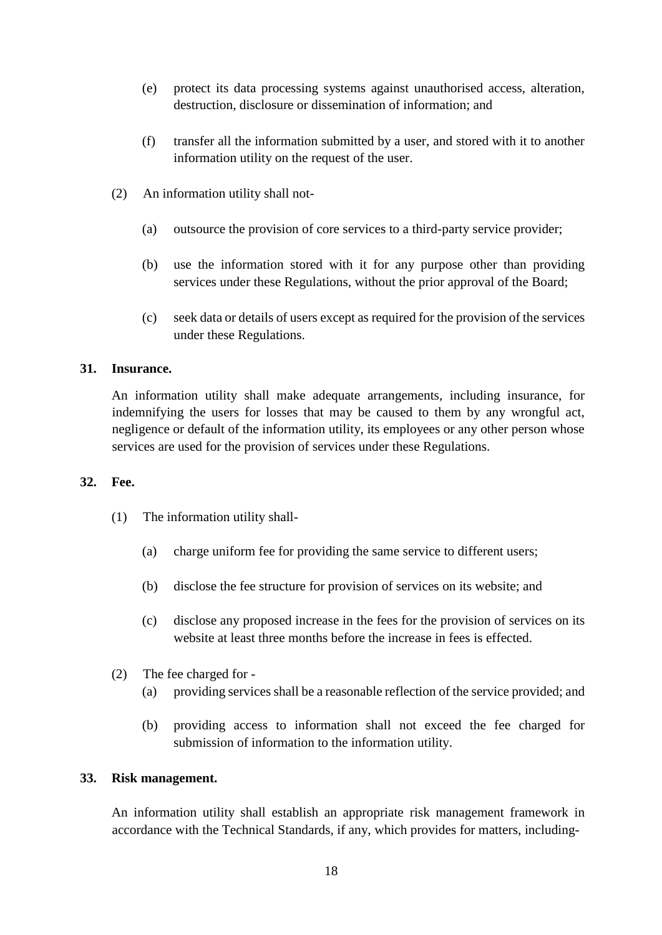- (e) protect its data processing systems against unauthorised access, alteration, destruction, disclosure or dissemination of information; and
- (f) transfer all the information submitted by a user, and stored with it to another information utility on the request of the user.
- (2) An information utility shall not-
	- (a) outsource the provision of core services to a third-party service provider;
	- (b) use the information stored with it for any purpose other than providing services under these Regulations, without the prior approval of the Board;
	- (c) seek data or details of users except as required for the provision of the services under these Regulations.

## **31. Insurance.**

An information utility shall make adequate arrangements, including insurance, for indemnifying the users for losses that may be caused to them by any wrongful act, negligence or default of the information utility, its employees or any other person whose services are used for the provision of services under these Regulations.

#### **32. Fee.**

- (1) The information utility shall-
	- (a) charge uniform fee for providing the same service to different users;
	- (b) disclose the fee structure for provision of services on its website; and
	- (c) disclose any proposed increase in the fees for the provision of services on its website at least three months before the increase in fees is effected.
- (2) The fee charged for
	- (a) providing services shall be a reasonable reflection of the service provided; and
	- (b) providing access to information shall not exceed the fee charged for submission of information to the information utility.

#### **33. Risk management.**

An information utility shall establish an appropriate risk management framework in accordance with the Technical Standards, if any, which provides for matters, including-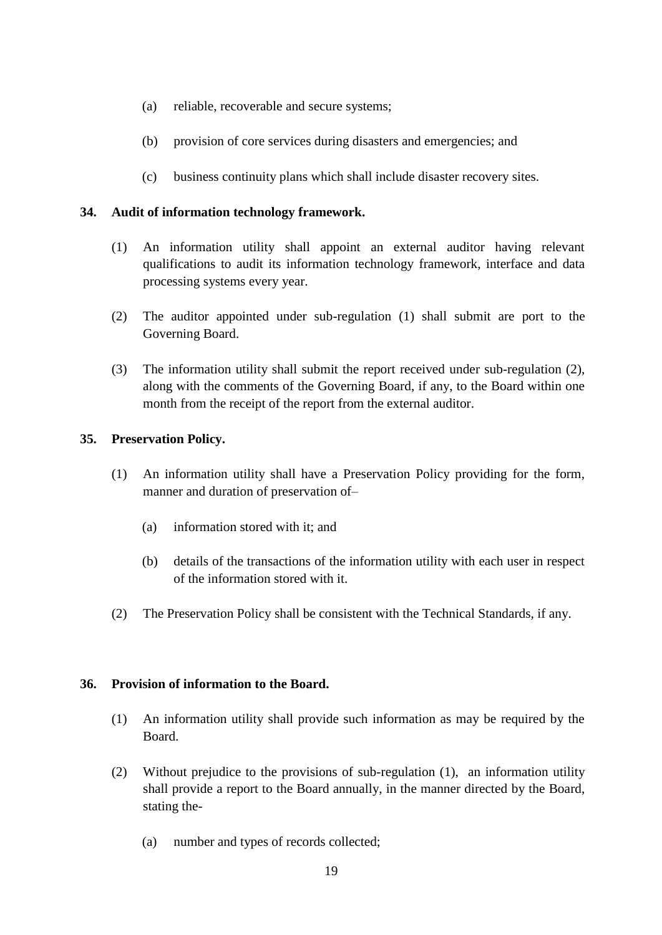- (a) reliable, recoverable and secure systems;
- (b) provision of core services during disasters and emergencies; and
- (c) business continuity plans which shall include disaster recovery sites.

## **34. Audit of information technology framework.**

- (1) An information utility shall appoint an external auditor having relevant qualifications to audit its information technology framework, interface and data processing systems every year.
- (2) The auditor appointed under sub-regulation (1) shall submit are port to the Governing Board.
- (3) The information utility shall submit the report received under sub-regulation (2), along with the comments of the Governing Board, if any, to the Board within one month from the receipt of the report from the external auditor.

## **35. Preservation Policy.**

- (1) An information utility shall have a Preservation Policy providing for the form, manner and duration of preservation of-
	- (a) information stored with it; and
	- (b) details of the transactions of the information utility with each user in respect of the information stored with it.
- (2) The Preservation Policy shall be consistent with the Technical Standards, if any.

#### **36. Provision of information to the Board.**

- (1) An information utility shall provide such information as may be required by the Board.
- (2) Without prejudice to the provisions of sub-regulation (1), an information utility shall provide a report to the Board annually, in the manner directed by the Board, stating the-
	- (a) number and types of records collected;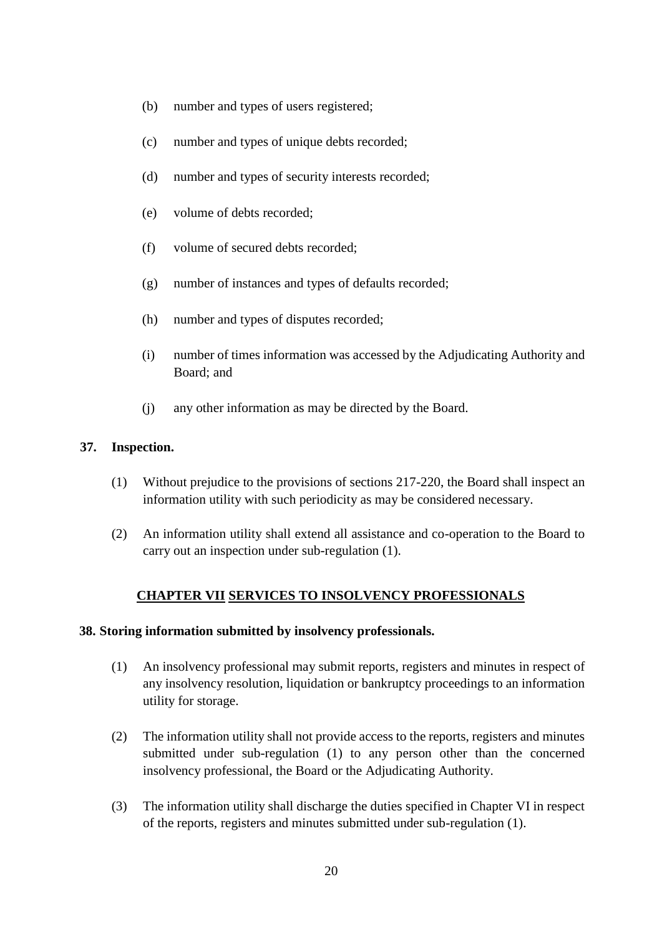- (b) number and types of users registered;
- (c) number and types of unique debts recorded;
- (d) number and types of security interests recorded;
- (e) volume of debts recorded;
- (f) volume of secured debts recorded;
- (g) number of instances and types of defaults recorded;
- (h) number and types of disputes recorded;
- (i) number of times information was accessed by the Adjudicating Authority and Board; and
- (j) any other information as may be directed by the Board.

## **37. Inspection.**

- (1) Without prejudice to the provisions of sections 217-220, the Board shall inspect an information utility with such periodicity as may be considered necessary.
- (2) An information utility shall extend all assistance and co-operation to the Board to carry out an inspection under sub-regulation (1).

# **CHAPTER VII SERVICES TO INSOLVENCY PROFESSIONALS**

#### **38. Storing information submitted by insolvency professionals.**

- (1) An insolvency professional may submit reports, registers and minutes in respect of any insolvency resolution, liquidation or bankruptcy proceedings to an information utility for storage.
- (2) The information utility shall not provide access to the reports, registers and minutes submitted under sub-regulation (1) to any person other than the concerned insolvency professional, the Board or the Adjudicating Authority.
- (3) The information utility shall discharge the duties specified in Chapter VI in respect of the reports, registers and minutes submitted under sub-regulation (1).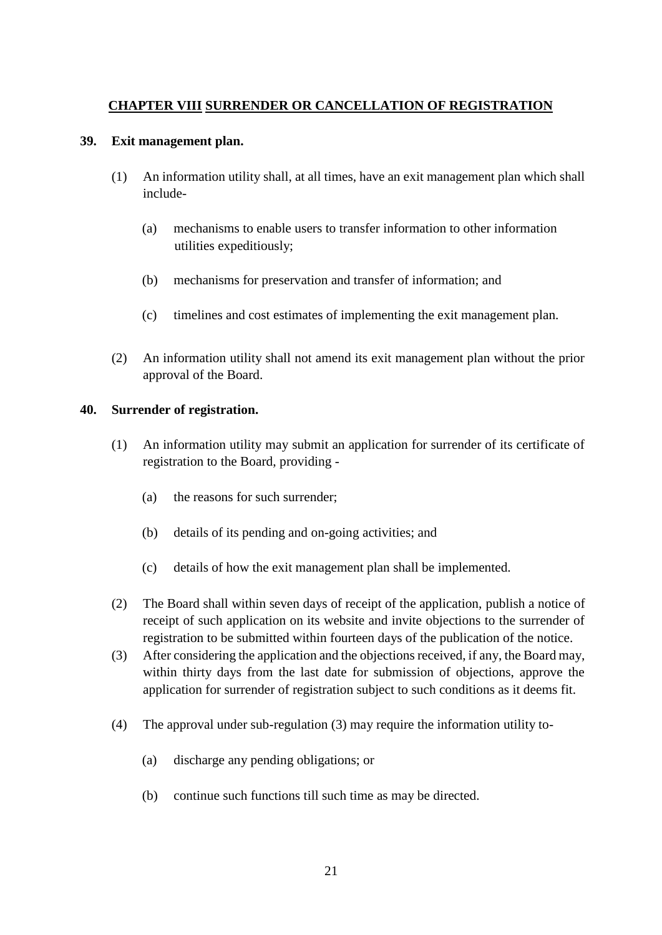# **CHAPTER VIII SURRENDER OR CANCELLATION OF REGISTRATION**

## **39. Exit management plan.**

- (1) An information utility shall, at all times, have an exit management plan which shall include-
	- (a) mechanisms to enable users to transfer information to other information utilities expeditiously;
	- (b) mechanisms for preservation and transfer of information; and
	- (c) timelines and cost estimates of implementing the exit management plan.
- (2) An information utility shall not amend its exit management plan without the prior approval of the Board.

# **40. Surrender of registration.**

- (1) An information utility may submit an application for surrender of its certificate of registration to the Board, providing -
	- (a) the reasons for such surrender;
	- (b) details of its pending and on-going activities; and
	- (c) details of how the exit management plan shall be implemented.
- (2) The Board shall within seven days of receipt of the application, publish a notice of receipt of such application on its website and invite objections to the surrender of registration to be submitted within fourteen days of the publication of the notice.
- (3) After considering the application and the objections received, if any, the Board may, within thirty days from the last date for submission of objections, approve the application for surrender of registration subject to such conditions as it deems fit.
- (4) The approval under sub-regulation (3) may require the information utility to-
	- (a) discharge any pending obligations; or
	- (b) continue such functions till such time as may be directed.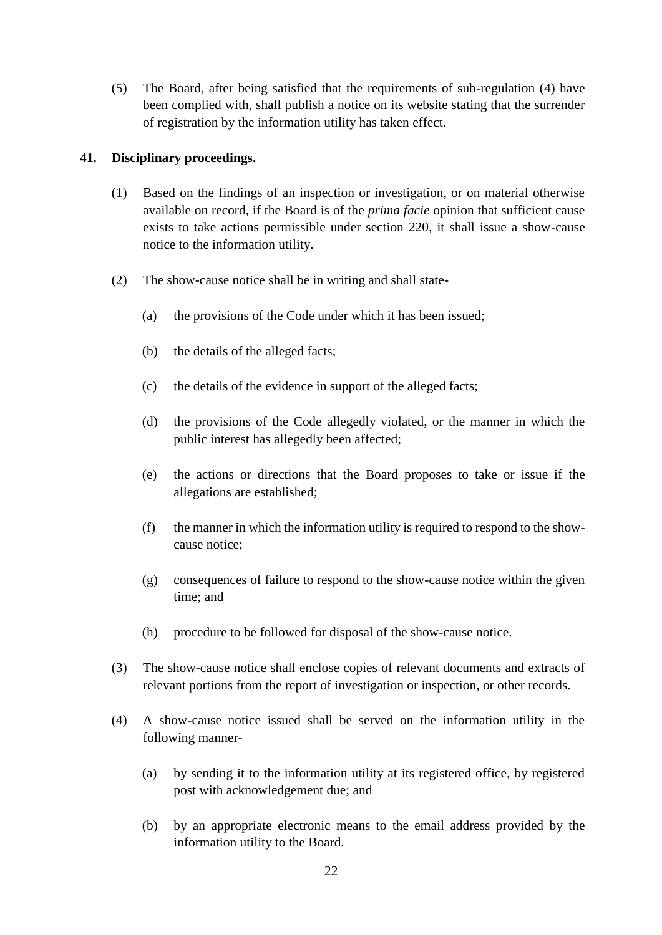(5) The Board, after being satisfied that the requirements of sub-regulation (4) have been complied with, shall publish a notice on its website stating that the surrender of registration by the information utility has taken effect.

## **41. Disciplinary proceedings.**

- (1) Based on the findings of an inspection or investigation, or on material otherwise available on record, if the Board is of the *prima facie* opinion that sufficient cause exists to take actions permissible under section 220, it shall issue a show-cause notice to the information utility.
- (2) The show-cause notice shall be in writing and shall state-
	- (a) the provisions of the Code under which it has been issued;
	- (b) the details of the alleged facts;
	- (c) the details of the evidence in support of the alleged facts;
	- (d) the provisions of the Code allegedly violated, or the manner in which the public interest has allegedly been affected;
	- (e) the actions or directions that the Board proposes to take or issue if the allegations are established;
	- (f) the manner in which the information utility is required to respond to the showcause notice;
	- (g) consequences of failure to respond to the show-cause notice within the given time; and
	- (h) procedure to be followed for disposal of the show-cause notice.
- (3) The show-cause notice shall enclose copies of relevant documents and extracts of relevant portions from the report of investigation or inspection, or other records.
- (4) A show-cause notice issued shall be served on the information utility in the following manner-
	- (a) by sending it to the information utility at its registered office, by registered post with acknowledgement due; and
	- (b) by an appropriate electronic means to the email address provided by the information utility to the Board.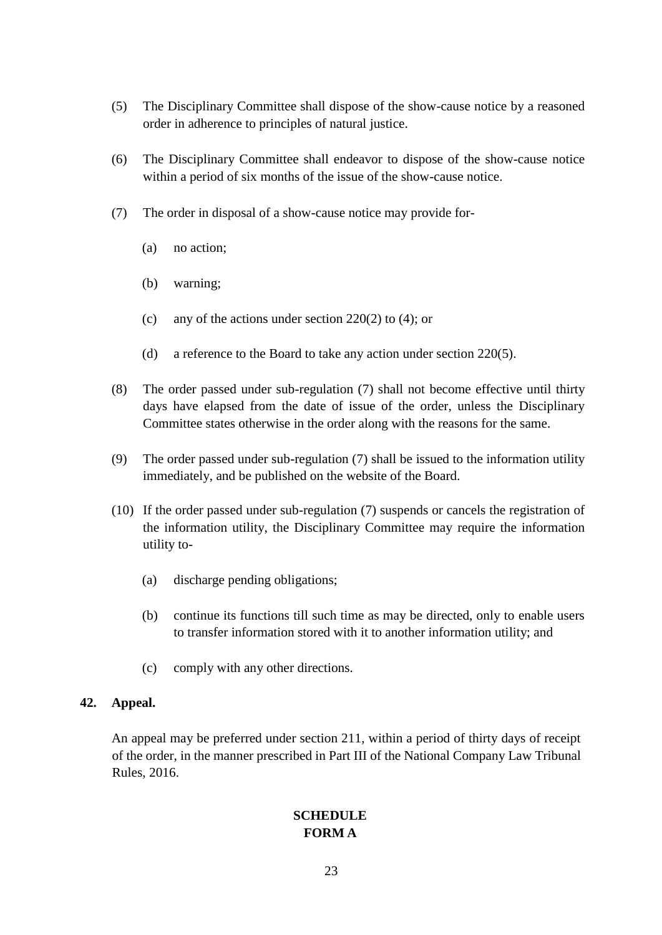- (5) The Disciplinary Committee shall dispose of the show-cause notice by a reasoned order in adherence to principles of natural justice.
- (6) The Disciplinary Committee shall endeavor to dispose of the show-cause notice within a period of six months of the issue of the show-cause notice.
- (7) The order in disposal of a show-cause notice may provide for-
	- (a) no action;
	- (b) warning;
	- (c) any of the actions under section 220(2) to (4); or
	- (d) a reference to the Board to take any action under section 220(5).
- (8) The order passed under sub-regulation (7) shall not become effective until thirty days have elapsed from the date of issue of the order, unless the Disciplinary Committee states otherwise in the order along with the reasons for the same.
- (9) The order passed under sub-regulation (7) shall be issued to the information utility immediately, and be published on the website of the Board.
- (10) If the order passed under sub-regulation (7) suspends or cancels the registration of the information utility, the Disciplinary Committee may require the information utility to-
	- (a) discharge pending obligations;
	- (b) continue its functions till such time as may be directed, only to enable users to transfer information stored with it to another information utility; and
	- (c) comply with any other directions.

#### **42. Appeal.**

An appeal may be preferred under section 211, within a period of thirty days of receipt of the order, in the manner prescribed in Part III of the National Company Law Tribunal Rules, 2016.

# **SCHEDULE FORM A**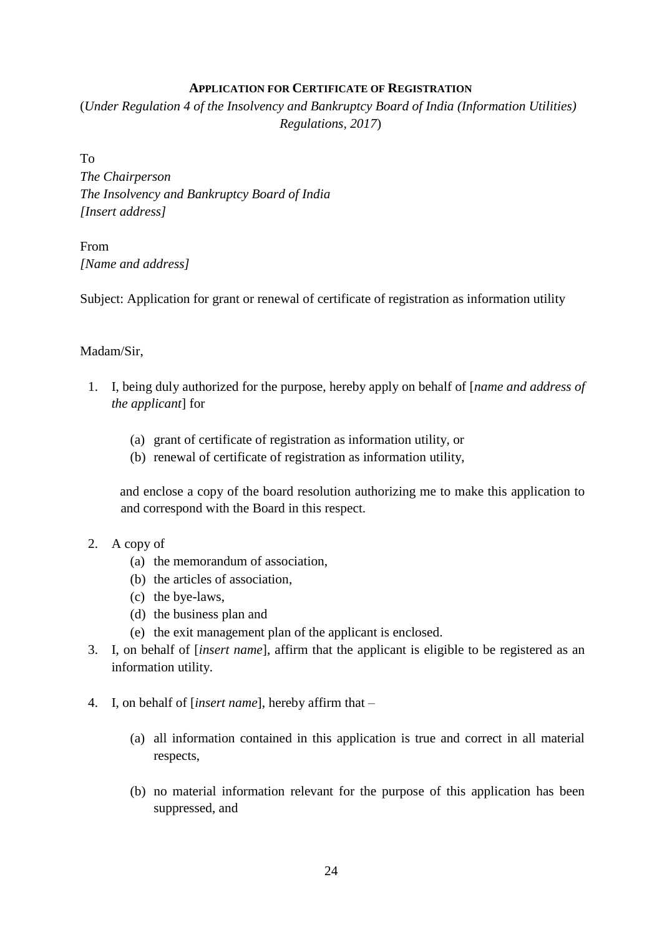## **APPLICATION FOR CERTIFICATE OF REGISTRATION**

(*Under Regulation 4 of the Insolvency and Bankruptcy Board of India (Information Utilities) Regulations, 2017*)

To

*The Chairperson The Insolvency and Bankruptcy Board of India [Insert address]* 

From *[Name and address]* 

Subject: Application for grant or renewal of certificate of registration as information utility

# Madam/Sir,

- 1. I, being duly authorized for the purpose, hereby apply on behalf of [*name and address of the applicant*] for
	- (a) grant of certificate of registration as information utility, or
	- (b) renewal of certificate of registration as information utility,

and enclose a copy of the board resolution authorizing me to make this application to and correspond with the Board in this respect.

- 2. A copy of
	- (a) the memorandum of association,
	- (b) the articles of association,
	- (c) the bye-laws,
	- (d) the business plan and
	- (e) the exit management plan of the applicant is enclosed.
- 3. I, on behalf of [*insert name*], affirm that the applicant is eligible to be registered as an information utility.
- 4. I, on behalf of [*insert name*], hereby affirm that
	- (a) all information contained in this application is true and correct in all material respects,
	- (b) no material information relevant for the purpose of this application has been suppressed, and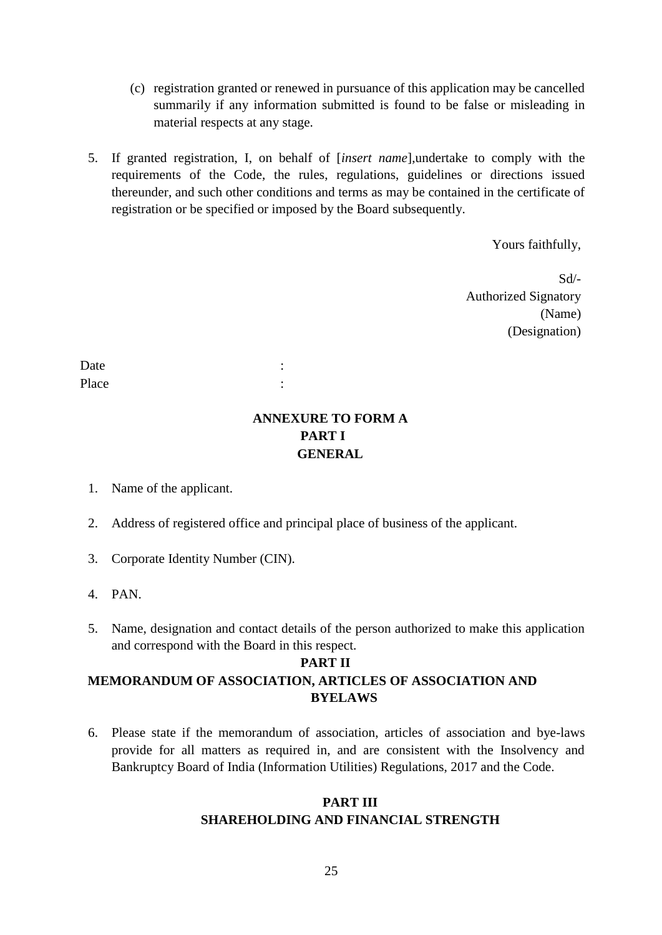- (c) registration granted or renewed in pursuance of this application may be cancelled summarily if any information submitted is found to be false or misleading in material respects at any stage.
- 5. If granted registration, I, on behalf of [*insert name*],undertake to comply with the requirements of the Code, the rules, regulations, guidelines or directions issued thereunder, and such other conditions and terms as may be contained in the certificate of registration or be specified or imposed by the Board subsequently.

Yours faithfully,

Sd/- Authorized Signatory (Name) (Designation)

Date : the set of the set of the set of the set of the set of the set of the set of the set of the set of the set of the set of the set of the set of the set of the set of the set of the set of the set of the set of the se Place :

# **ANNEXURE TO FORM A PART I GENERAL**

- 1. Name of the applicant.
- 2. Address of registered office and principal place of business of the applicant.
- 3. Corporate Identity Number (CIN).
- 4. PAN.
- 5. Name, designation and contact details of the person authorized to make this application and correspond with the Board in this respect.

# **PART II MEMORANDUM OF ASSOCIATION, ARTICLES OF ASSOCIATION AND BYELAWS**

6. Please state if the memorandum of association, articles of association and bye-laws provide for all matters as required in, and are consistent with the Insolvency and Bankruptcy Board of India (Information Utilities) Regulations, 2017 and the Code.

# **PART III SHAREHOLDING AND FINANCIAL STRENGTH**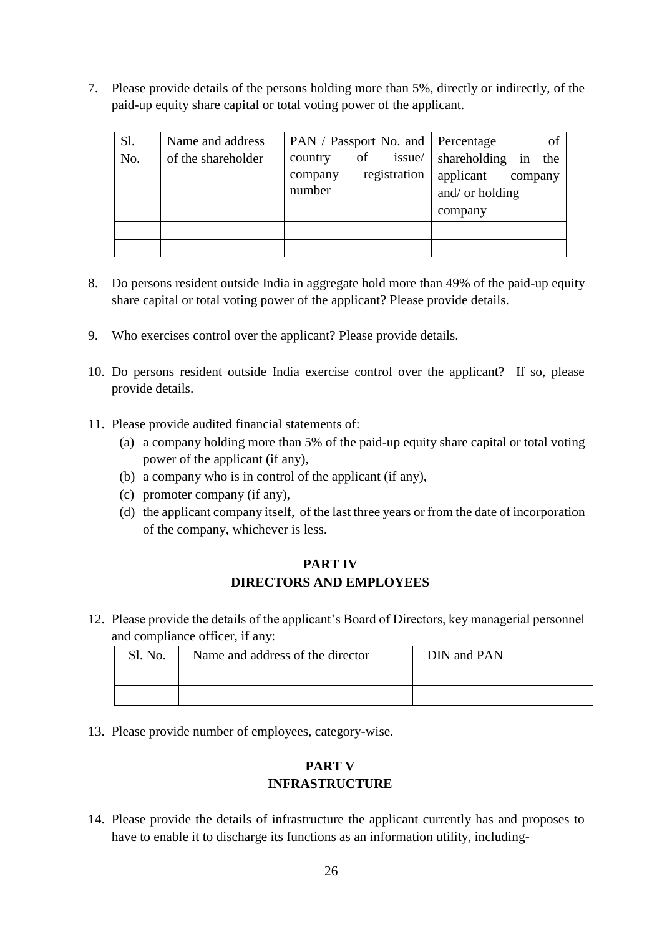7. Please provide details of the persons holding more than 5%, directly or indirectly, of the paid-up equity share capital or total voting power of the applicant.

| S1.<br>No. | Name and address<br>of the shareholder | PAN / Passport No. and   Percentage<br>of<br>issue/<br>country<br>registration<br>company<br>number | of<br>shareholding in<br>the<br>applicant<br>company<br>and/ or holding<br>company |
|------------|----------------------------------------|-----------------------------------------------------------------------------------------------------|------------------------------------------------------------------------------------|
|            |                                        |                                                                                                     |                                                                                    |

- 8. Do persons resident outside India in aggregate hold more than 49% of the paid-up equity share capital or total voting power of the applicant? Please provide details.
- 9. Who exercises control over the applicant? Please provide details.
- 10. Do persons resident outside India exercise control over the applicant? If so, please provide details.
- 11. Please provide audited financial statements of:
	- (a) a company holding more than 5% of the paid-up equity share capital or total voting power of the applicant (if any),
	- (b) a company who is in control of the applicant (if any),
	- (c) promoter company (if any),
	- (d) the applicant company itself, of the last three years or from the date of incorporation of the company, whichever is less.

# **PART IV DIRECTORS AND EMPLOYEES**

12. Please provide the details of the applicant's Board of Directors, key managerial personnel and compliance officer, if any:

| Sl. No. | Name and address of the director | DIN and PAN |  |
|---------|----------------------------------|-------------|--|
|         |                                  |             |  |
|         |                                  |             |  |

13. Please provide number of employees, category-wise.

# **PART V INFRASTRUCTURE**

14. Please provide the details of infrastructure the applicant currently has and proposes to have to enable it to discharge its functions as an information utility, including-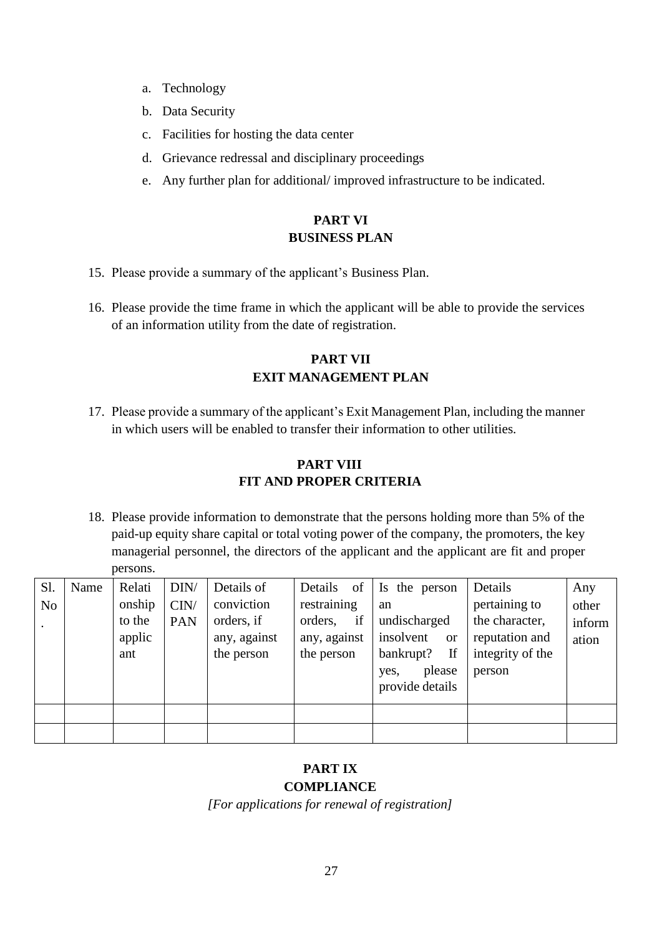- a. Technology
- b. Data Security
- c. Facilities for hosting the data center
- d. Grievance redressal and disciplinary proceedings
- e. Any further plan for additional/ improved infrastructure to be indicated.

# **PART VI BUSINESS PLAN**

- 15. Please provide a summary of the applicant's Business Plan.
- 16. Please provide the time frame in which the applicant will be able to provide the services of an information utility from the date of registration.

# **PART VII EXIT MANAGEMENT PLAN**

17. Please provide a summary of the applicant's Exit Management Plan, including the manner in which users will be enabled to transfer their information to other utilities.

# **PART VIII FIT AND PROPER CRITERIA**

18. Please provide information to demonstrate that the persons holding more than 5% of the paid-up equity share capital or total voting power of the company, the promoters, the key managerial personnel, the directors of the applicant and the applicant are fit and proper persons.

| Sl.            | Name | Relati | DIN/       | Details of   | of<br>Details | Is the person          | Details          | Any    |
|----------------|------|--------|------------|--------------|---------------|------------------------|------------------|--------|
| N <sub>o</sub> |      | onship | CIN/       | conviction   | restraining   | an                     | pertaining to    | other  |
|                |      | to the | <b>PAN</b> | orders, if   | if<br>orders, | undischarged           | the character,   | inform |
|                |      | applic |            | any, against | any, against  | insolvent<br><b>or</b> | reputation and   | ation  |
|                |      | ant    |            | the person   | the person    | If<br>bankrupt?        | integrity of the |        |
|                |      |        |            |              |               | please<br>yes,         | person           |        |
|                |      |        |            |              |               | provide details        |                  |        |
|                |      |        |            |              |               |                        |                  |        |
|                |      |        |            |              |               |                        |                  |        |

# **PART IX COMPLIANCE**

*[For applications for renewal of registration]*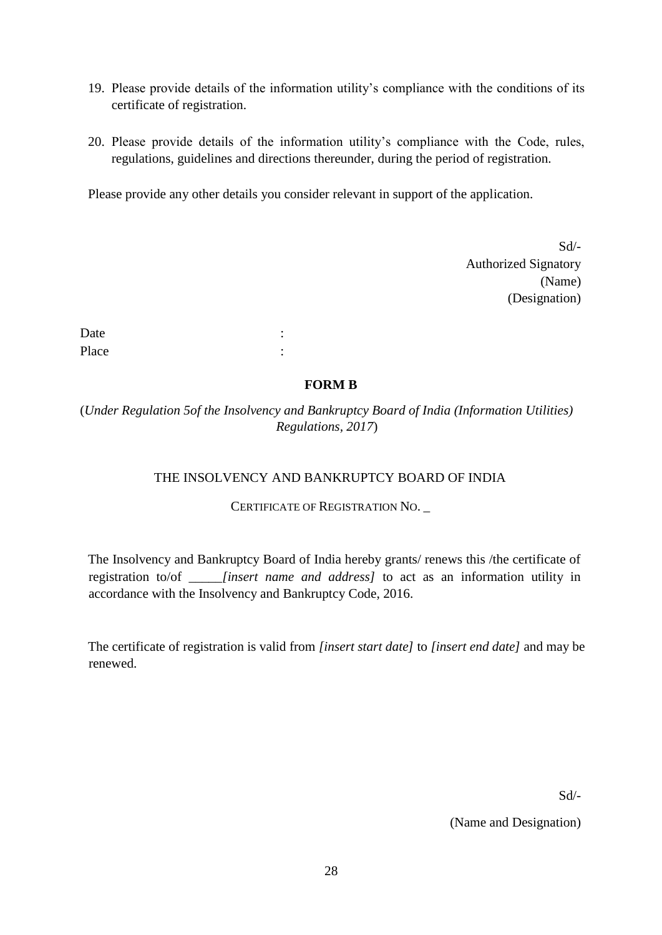- 19. Please provide details of the information utility's compliance with the conditions of its certificate of registration.
- 20. Please provide details of the information utility's compliance with the Code, rules, regulations, guidelines and directions thereunder, during the period of registration.

Please provide any other details you consider relevant in support of the application.

 $Sd$ <sup>-</sup> Authorized Signatory (Name) (Designation)

Date : the state of the state of the state of the state of the state of the state of the state of the state of the state of the state of the state of the state of the state of the state of the state of the state of the sta Place : the set of the set of the set of the set of the set of the set of the set of the set of the set of the set of the set of the set of the set of the set of the set of the set of the set of the set of the set of the s

#### **FORM B**

(*Under Regulation 5of the Insolvency and Bankruptcy Board of India (Information Utilities) Regulations, 2017*)

# THE INSOLVENCY AND BANKRUPTCY BOARD OF INDIA

#### CERTIFICATE OF REGISTRATION NO.

The Insolvency and Bankruptcy Board of India hereby grants/ renews this /the certificate of registration to/of \_\_\_\_\_*[insert name and address]* to act as an information utility in accordance with the Insolvency and Bankruptcy Code, 2016.

The certificate of registration is valid from *[insert start date]* to *[insert end date]* and may be renewed.

Sd/-

(Name and Designation)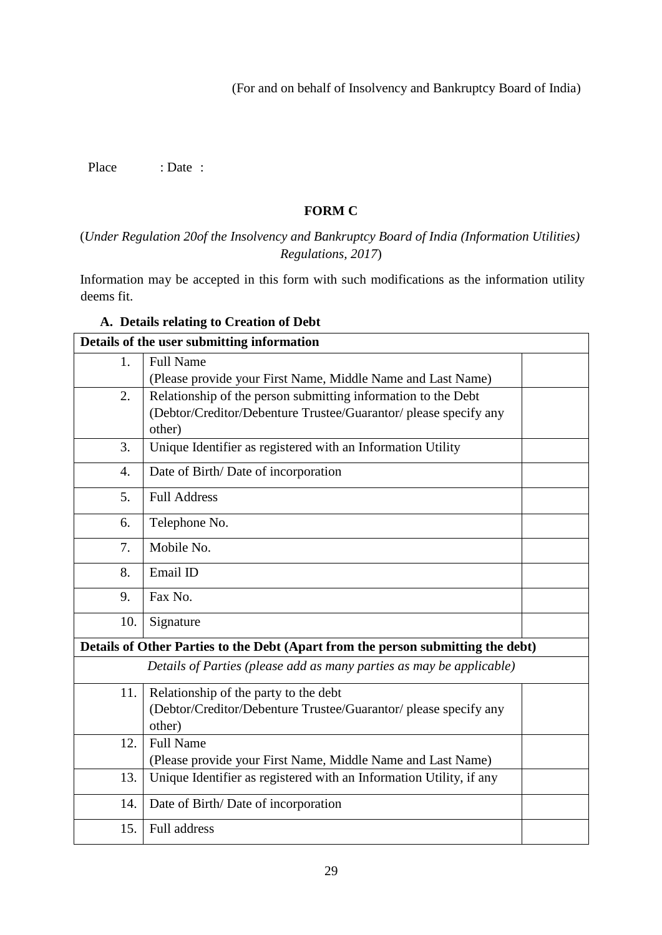(For and on behalf of Insolvency and Bankruptcy Board of India)

Place : Date :

## **FORM C**

(*Under Regulation 20of the Insolvency and Bankruptcy Board of India (Information Utilities) Regulations, 2017*)

Information may be accepted in this form with such modifications as the information utility deems fit.

| Details of the user submitting information                                       |                                                                     |  |  |  |
|----------------------------------------------------------------------------------|---------------------------------------------------------------------|--|--|--|
| 1.                                                                               | <b>Full Name</b>                                                    |  |  |  |
|                                                                                  | (Please provide your First Name, Middle Name and Last Name)         |  |  |  |
| 2.                                                                               | Relationship of the person submitting information to the Debt       |  |  |  |
|                                                                                  | (Debtor/Creditor/Debenture Trustee/Guarantor/ please specify any    |  |  |  |
|                                                                                  | other)                                                              |  |  |  |
| 3.                                                                               | Unique Identifier as registered with an Information Utility         |  |  |  |
| $\overline{4}$ .                                                                 | Date of Birth/Date of incorporation                                 |  |  |  |
| 5.                                                                               | <b>Full Address</b>                                                 |  |  |  |
| 6.                                                                               | Telephone No.                                                       |  |  |  |
| 7.                                                                               | Mobile No.                                                          |  |  |  |
| 8.                                                                               | Email ID                                                            |  |  |  |
| 9.                                                                               | Fax No.                                                             |  |  |  |
| 10.                                                                              | Signature                                                           |  |  |  |
| Details of Other Parties to the Debt (Apart from the person submitting the debt) |                                                                     |  |  |  |
| Details of Parties (please add as many parties as may be applicable)             |                                                                     |  |  |  |
| 11.                                                                              | Relationship of the party to the debt                               |  |  |  |
|                                                                                  | (Debtor/Creditor/Debenture Trustee/Guarantor/ please specify any    |  |  |  |
|                                                                                  | other)                                                              |  |  |  |
| 12.                                                                              | <b>Full Name</b>                                                    |  |  |  |
|                                                                                  | (Please provide your First Name, Middle Name and Last Name)         |  |  |  |
| 13.                                                                              | Unique Identifier as registered with an Information Utility, if any |  |  |  |
| 14.                                                                              | Date of Birth/Date of incorporation                                 |  |  |  |
| 15.                                                                              | Full address                                                        |  |  |  |

# **A. Details relating to Creation of Debt**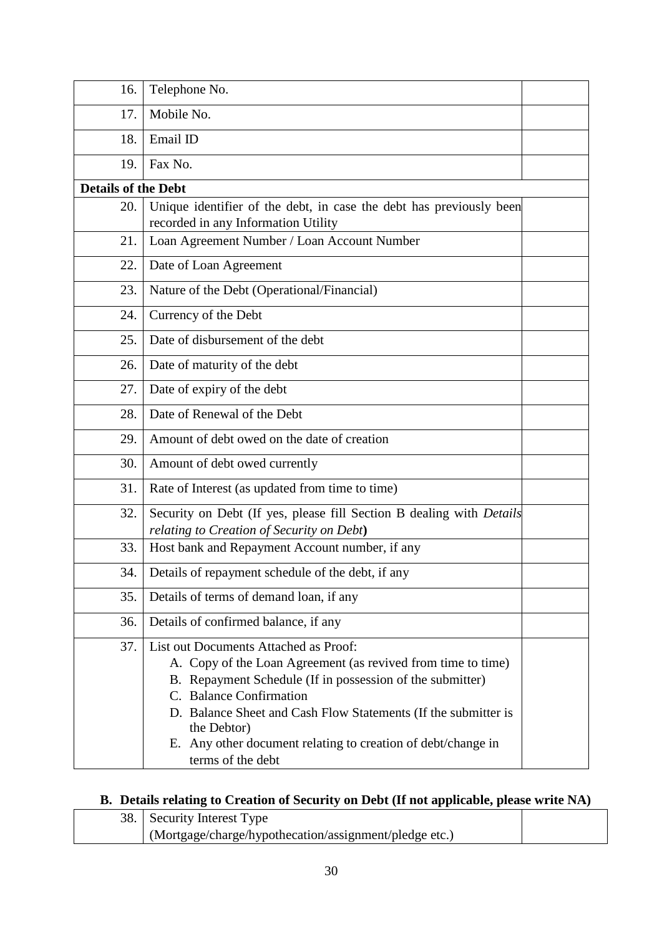| 16.                        | Telephone No.                                                                                                                                                                                                                                                                                                                                                       |  |
|----------------------------|---------------------------------------------------------------------------------------------------------------------------------------------------------------------------------------------------------------------------------------------------------------------------------------------------------------------------------------------------------------------|--|
| 17.                        | Mobile No.                                                                                                                                                                                                                                                                                                                                                          |  |
| 18.                        | Email ID                                                                                                                                                                                                                                                                                                                                                            |  |
| 19.                        | Fax No.                                                                                                                                                                                                                                                                                                                                                             |  |
| <b>Details of the Debt</b> |                                                                                                                                                                                                                                                                                                                                                                     |  |
| 20.                        | Unique identifier of the debt, in case the debt has previously been<br>recorded in any Information Utility                                                                                                                                                                                                                                                          |  |
| 21.                        | Loan Agreement Number / Loan Account Number                                                                                                                                                                                                                                                                                                                         |  |
| 22.                        | Date of Loan Agreement                                                                                                                                                                                                                                                                                                                                              |  |
| 23.                        | Nature of the Debt (Operational/Financial)                                                                                                                                                                                                                                                                                                                          |  |
| 24.                        | Currency of the Debt                                                                                                                                                                                                                                                                                                                                                |  |
| 25.                        | Date of disbursement of the debt                                                                                                                                                                                                                                                                                                                                    |  |
| 26.                        | Date of maturity of the debt                                                                                                                                                                                                                                                                                                                                        |  |
| 27.                        | Date of expiry of the debt                                                                                                                                                                                                                                                                                                                                          |  |
| 28.                        | Date of Renewal of the Debt                                                                                                                                                                                                                                                                                                                                         |  |
| 29.                        | Amount of debt owed on the date of creation                                                                                                                                                                                                                                                                                                                         |  |
| 30.                        | Amount of debt owed currently                                                                                                                                                                                                                                                                                                                                       |  |
| 31.                        | Rate of Interest (as updated from time to time)                                                                                                                                                                                                                                                                                                                     |  |
| 32.                        | Security on Debt (If yes, please fill Section B dealing with Details<br>relating to Creation of Security on Debt)                                                                                                                                                                                                                                                   |  |
| 33.                        | Host bank and Repayment Account number, if any                                                                                                                                                                                                                                                                                                                      |  |
| 34.                        | Details of repayment schedule of the debt, if any                                                                                                                                                                                                                                                                                                                   |  |
| 35.                        | Details of terms of demand loan, if any                                                                                                                                                                                                                                                                                                                             |  |
| 36.                        | Details of confirmed balance, if any                                                                                                                                                                                                                                                                                                                                |  |
| 37.                        | List out Documents Attached as Proof:<br>A. Copy of the Loan Agreement (as revived from time to time)<br>B. Repayment Schedule (If in possession of the submitter)<br>C. Balance Confirmation<br>D. Balance Sheet and Cash Flow Statements (If the submitter is<br>the Debtor)<br>E. Any other document relating to creation of debt/change in<br>terms of the debt |  |

# **B. Details relating to Creation of Security on Debt (If not applicable, please write NA)**

| 38. Security Interest Type                             |  |
|--------------------------------------------------------|--|
| (Mortgage/charge/hypothecation/assignment/pledge etc.) |  |